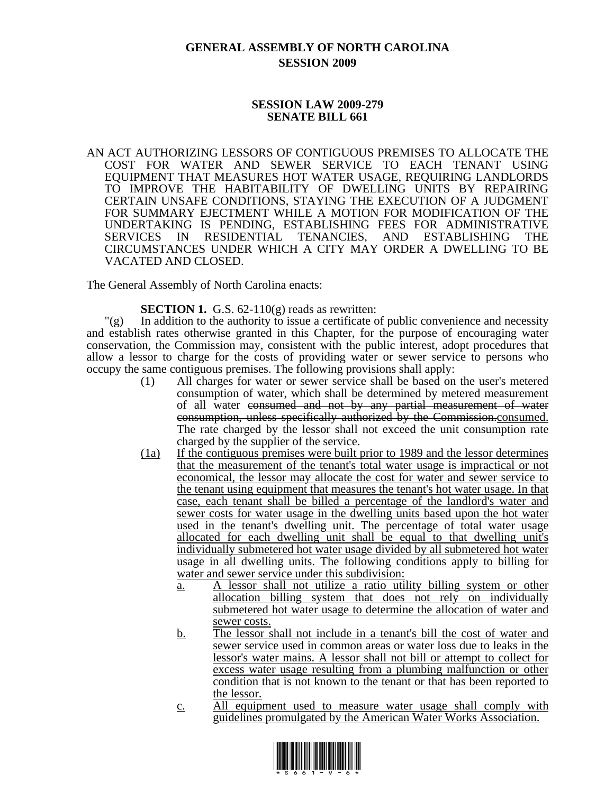# **GENERAL ASSEMBLY OF NORTH CAROLINA SESSION 2009**

#### **SESSION LAW 2009-279 SENATE BILL 661**

AN ACT AUTHORIZING LESSORS OF CONTIGUOUS PREMISES TO ALLOCATE THE COST FOR WATER AND SEWER SERVICE TO EACH TENANT USING EQUIPMENT THAT MEASURES HOT WATER USAGE, REQUIRING LANDLORDS TO IMPROVE THE HABITABILITY OF DWELLING UNITS BY REPAIRING CERTAIN UNSAFE CONDITIONS, STAYING THE EXECUTION OF A JUDGMENT FOR SUMMARY EJECTMENT WHILE A MOTION FOR MODIFICATION OF THE UNDERTAKING IS PENDING, ESTABLISHING FEES FOR ADMINISTRATIVE SERVICES IN RESIDENTIAL TENANCIES, AND ESTABLISHING THE CIRCUMSTANCES UNDER WHICH A CITY MAY ORDER A DWELLING TO BE VACATED AND CLOSED.

The General Assembly of North Carolina enacts:

#### **SECTION 1.** G.S. 62-110(g) reads as rewritten:

 $\Gamma(g)$  In addition to the authority to issue a certificate of public convenience and necessity and establish rates otherwise granted in this Chapter, for the purpose of encouraging water conservation, the Commission may, consistent with the public interest, adopt procedures that allow a lessor to charge for the costs of providing water or sewer service to persons who occupy the same contiguous premises. The following provisions shall apply:

- (1) All charges for water or sewer service shall be based on the user's metered consumption of water, which shall be determined by metered measurement of all water consumed and not by any partial measurement of water consumption, unless specifically authorized by the Commission.consumed. The rate charged by the lessor shall not exceed the unit consumption rate charged by the supplier of the service.
- (1a) If the contiguous premises were built prior to 1989 and the lessor determines that the measurement of the tenant's total water usage is impractical or not economical, the lessor may allocate the cost for water and sewer service to the tenant using equipment that measures the tenant's hot water usage. In that case, each tenant shall be billed a percentage of the landlord's water and sewer costs for water usage in the dwelling units based upon the hot water used in the tenant's dwelling unit. The percentage of total water usage allocated for each dwelling unit shall be equal to that dwelling unit's individually submetered hot water usage divided by all submetered hot water usage in all dwelling units. The following conditions apply to billing for water and sewer service under this subdivision:
	- a. A lessor shall not utilize a ratio utility billing system or other allocation billing system that does not rely on individually submetered hot water usage to determine the allocation of water and sewer costs.
	- b. The lessor shall not include in a tenant's bill the cost of water and sewer service used in common areas or water loss due to leaks in the lessor's water mains. A lessor shall not bill or attempt to collect for excess water usage resulting from a plumbing malfunction or other condition that is not known to the tenant or that has been reported to the lessor.
	- c. All equipment used to measure water usage shall comply with guidelines promulgated by the American Water Works Association.

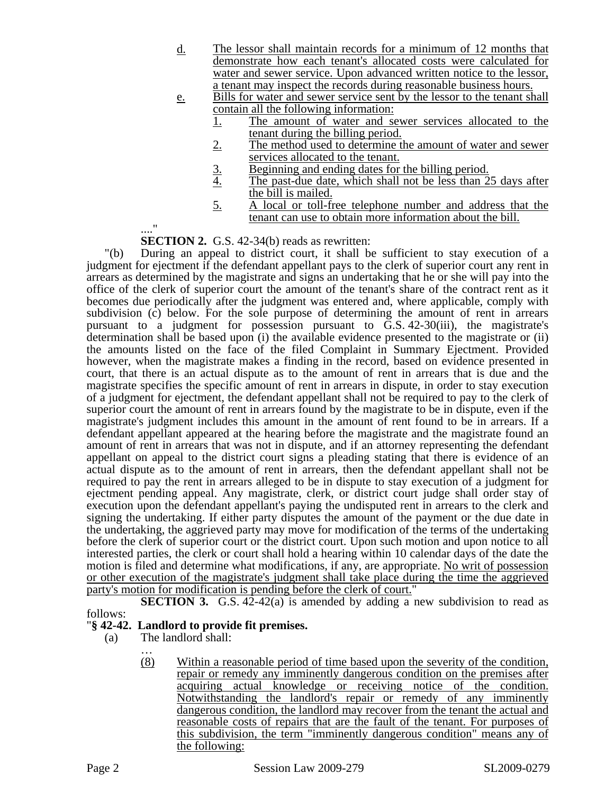- d. The lessor shall maintain records for a minimum of 12 months that demonstrate how each tenant's allocated costs were calculated for water and sewer service. Upon advanced written notice to the lessor, a tenant may inspect the records during reasonable business hours.
- e. Bills for water and sewer service sent by the lessor to the tenant shall contain all the following information:
	- 1. The amount of water and sewer services allocated to the tenant during the billing period.
	- 2. The method used to determine the amount of water and sewer services allocated to the tenant.
	- 3. Beginning and ending dates for the billing period.<br>4. The past-due date, which shall not be less than 2
	- The past-due date, which shall not be less than 25 days after the bill is mailed.
	- 5. A local or toll-free telephone number and address that the tenant can use to obtain more information about the bill.

#### ...." **SECTION 2.** G.S. 42-34(b) reads as rewritten:

"(b) During an appeal to district court, it shall be sufficient to stay execution of a judgment for ejectment if the defendant appellant pays to the clerk of superior court any rent in arrears as determined by the magistrate and signs an undertaking that he or she will pay into the office of the clerk of superior court the amount of the tenant's share of the contract rent as it becomes due periodically after the judgment was entered and, where applicable, comply with subdivision (c) below. For the sole purpose of determining the amount of rent in arrears pursuant to a judgment for possession pursuant to G.S. 42-30(iii), the magistrate's determination shall be based upon (i) the available evidence presented to the magistrate or (ii) the amounts listed on the face of the filed Complaint in Summary Ejectment. Provided however, when the magistrate makes a finding in the record, based on evidence presented in court, that there is an actual dispute as to the amount of rent in arrears that is due and the magistrate specifies the specific amount of rent in arrears in dispute, in order to stay execution of a judgment for ejectment, the defendant appellant shall not be required to pay to the clerk of superior court the amount of rent in arrears found by the magistrate to be in dispute, even if the magistrate's judgment includes this amount in the amount of rent found to be in arrears. If a defendant appellant appeared at the hearing before the magistrate and the magistrate found an amount of rent in arrears that was not in dispute, and if an attorney representing the defendant appellant on appeal to the district court signs a pleading stating that there is evidence of an actual dispute as to the amount of rent in arrears, then the defendant appellant shall not be required to pay the rent in arrears alleged to be in dispute to stay execution of a judgment for ejectment pending appeal. Any magistrate, clerk, or district court judge shall order stay of execution upon the defendant appellant's paying the undisputed rent in arrears to the clerk and signing the undertaking. If either party disputes the amount of the payment or the due date in the undertaking, the aggrieved party may move for modification of the terms of the undertaking before the clerk of superior court or the district court. Upon such motion and upon notice to all interested parties, the clerk or court shall hold a hearing within 10 calendar days of the date the motion is filed and determine what modifications, if any, are appropriate. No writ of possession or other execution of the magistrate's judgment shall take place during the time the aggrieved party's motion for modification is pending before the clerk of court."

**SECTION 3.** G.S. 42-42(a) is amended by adding a new subdivision to read as follows:

## "**§ 42-42. Landlord to provide fit premises.**

(a) The landlord shall:

…

(8) Within a reasonable period of time based upon the severity of the condition, repair or remedy any imminently dangerous condition on the premises after acquiring actual knowledge or receiving notice of the condition. Notwithstanding the landlord's repair or remedy of any imminently dangerous condition, the landlord may recover from the tenant the actual and reasonable costs of repairs that are the fault of the tenant. For purposes of this subdivision, the term "imminently dangerous condition" means any of the following: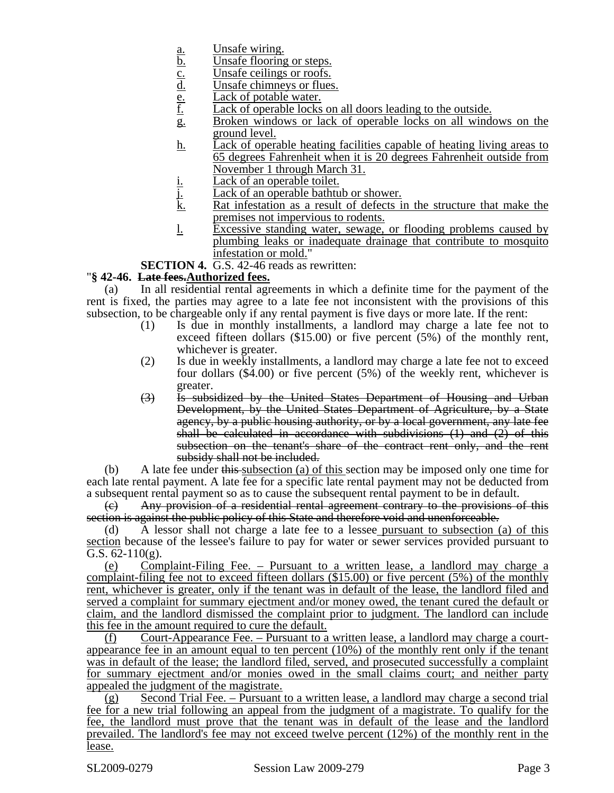- 
- Unsafe flooring or steps.
- Unsafe ceilings or roofs.
- Unsafe chimneys or flues.
- <u>a.</u><br>
<u>b.</u><br>
<u>Unsafe flooring</u><br>
<u>C.</u><br>
<u>Unsafe ceilings</u><br>
<u>E.</u><br>
<u>Lack of potable</u><br>
<u>Lack of operab</u> Lack of potable water.
- Lack of operable locks on all doors leading to the outside.
- g. Broken windows or lack of operable locks on all windows on the ground level.
- h. Lack of operable heating facilities capable of heating living areas to 65 degrees Fahrenheit when it is 20 degrees Fahrenheit outside from November 1 through March 31.
- i. Lack of an operable toilet.<br>
<u>Lack of an operable bathtu</u><br>
<u>k.</u> Rat infestation as a result
- Lack of an operable bathtub or shower.
- Rat infestation as a result of defects in the structure that make the premises not impervious to rodents.
- l. Excessive standing water, sewage, or flooding problems caused by plumbing leaks or inadequate drainage that contribute to mosquito infestation or mold."

**SECTION 4.** G.S. 42-46 reads as rewritten:

#### "**§ 42-46. Late fees.Authorized fees.**

(a) In all residential rental agreements in which a definite time for the payment of the rent is fixed, the parties may agree to a late fee not inconsistent with the provisions of this subsection, to be chargeable only if any rental payment is five days or more late. If the rent:

- (1) Is due in monthly installments, a landlord may charge a late fee not to exceed fifteen dollars (\$15.00) or five percent (5%) of the monthly rent, whichever is greater.
- (2) Is due in weekly installments, a landlord may charge a late fee not to exceed four dollars (\$4.00) or five percent (5%) of the weekly rent, whichever is greater.
- (3) Is subsidized by the United States Department of Housing and Urban Development, by the United States Department of Agriculture, by a State agency, by a public housing authority, or by a local government, any late fee shall be calculated in accordance with subdivisions (1) and (2) of this subsection on the tenant's share of the contract rent only, and the rent subsidy shall not be included.

(b) A late fee under this subsection (a) of this section may be imposed only one time for each late rental payment. A late fee for a specific late rental payment may not be deducted from a subsequent rental payment so as to cause the subsequent rental payment to be in default.

(c) Any provision of a residential rental agreement contrary to the provisions of this section is against the public policy of this State and therefore void and unenforceable.

(d) A lessor shall not charge a late fee to a lessee pursuant to subsection (a) of this section because of the lessee's failure to pay for water or sewer services provided pursuant to G.S.  $62-110(g)$ .

(e) Complaint-Filing Fee. – Pursuant to a written lease, a landlord may charge a complaint-filing fee not to exceed fifteen dollars (\$15.00) or five percent (5%) of the monthly rent, whichever is greater, only if the tenant was in default of the lease, the landlord filed and served a complaint for summary ejectment and/or money owed, the tenant cured the default or claim, and the landlord dismissed the complaint prior to judgment. The landlord can include this fee in the amount required to cure the default.

(f) Court-Appearance Fee. – Pursuant to a written lease, a landlord may charge a courtappearance fee in an amount equal to ten percent  $(10\%)$  of the monthly rent only if the tenant was in default of the lease; the landlord filed, served, and prosecuted successfully a complaint for summary ejectment and/or monies owed in the small claims court; and neither party appealed the judgment of the magistrate.

(g) Second Trial Fee. – Pursuant to a written lease, a landlord may charge a second trial fee for a new trial following an appeal from the judgment of a magistrate. To qualify for the fee, the landlord must prove that the tenant was in default of the lease and the landlord prevailed. The landlord's fee may not exceed twelve percent (12%) of the monthly rent in the lease.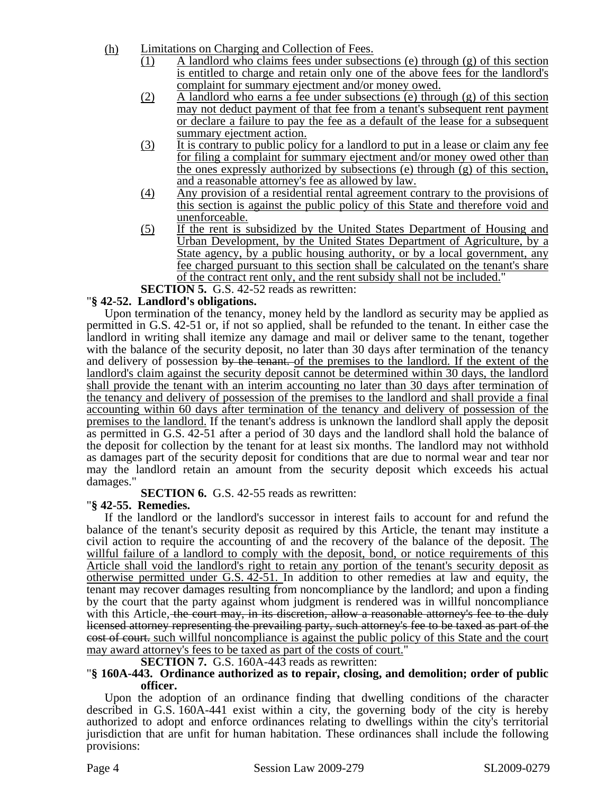- (h) Limitations on Charging and Collection of Fees.
	- (1) A landlord who claims fees under subsections (e) through (g) of this section is entitled to charge and retain only one of the above fees for the landlord's complaint for summary ejectment and/or money owed.
	- (2) A landlord who earns a fee under subsections (e) through (g) of this section may not deduct payment of that fee from a tenant's subsequent rent payment or declare a failure to pay the fee as a default of the lease for a subsequent summary ejectment action.
	- (3) It is contrary to public policy for a landlord to put in a lease or claim any fee for filing a complaint for summary ejectment and/or money owed other than the ones expressly authorized by subsections (e) through (g) of this section, and a reasonable attorney's fee as allowed by law.
	- (4) Any provision of a residential rental agreement contrary to the provisions of this section is against the public policy of this State and therefore void and unenforceable.
	- (5) If the rent is subsidized by the United States Department of Housing and Urban Development, by the United States Department of Agriculture, by a State agency, by a public housing authority, or by a local government, any fee charged pursuant to this section shall be calculated on the tenant's share of the contract rent only, and the rent subsidy shall not be included."

**SECTION 5.** G.S. 42-52 reads as rewritten:

## "**§ 42-52. Landlord's obligations.**

Upon termination of the tenancy, money held by the landlord as security may be applied as permitted in G.S. 42-51 or, if not so applied, shall be refunded to the tenant. In either case the landlord in writing shall itemize any damage and mail or deliver same to the tenant, together with the balance of the security deposit, no later than 30 days after termination of the tenancy and delivery of possession by the tenant. of the premises to the landlord. If the extent of the landlord's claim against the security deposit cannot be determined within 30 days, the landlord shall provide the tenant with an interim accounting no later than 30 days after termination of the tenancy and delivery of possession of the premises to the landlord and shall provide a final accounting within 60 days after termination of the tenancy and delivery of possession of the premises to the landlord. If the tenant's address is unknown the landlord shall apply the deposit as permitted in G.S. 42-51 after a period of 30 days and the landlord shall hold the balance of the deposit for collection by the tenant for at least six months. The landlord may not withhold as damages part of the security deposit for conditions that are due to normal wear and tear nor may the landlord retain an amount from the security deposit which exceeds his actual damages."

**SECTION 6.** G.S. 42-55 reads as rewritten: "**§ 42-55. Remedies.** 

If the landlord or the landlord's successor in interest fails to account for and refund the balance of the tenant's security deposit as required by this Article, the tenant may institute a civil action to require the accounting of and the recovery of the balance of the deposit. The willful failure of a landlord to comply with the deposit, bond, or notice requirements of this Article shall void the landlord's right to retain any portion of the tenant's security deposit as otherwise permitted under G.S. 42-51. In addition to other remedies at law and equity, the tenant may recover damages resulting from noncompliance by the landlord; and upon a finding by the court that the party against whom judgment is rendered was in willful noncompliance with this Article, the court may, in its discretion, allow a reasonable attorney's fee to the duly licensed attorney representing the prevailing party, such attorney's fee to be taxed as part of the cost of court. such willful noncompliance is against the public policy of this State and the court

# may award attorney's fees to be taxed as part of the costs of court."<br>**SECTION 7.** G.S. 160A-443 reads as rewritten:<br>**"**§ 160A-443. Ordinance authorized as to repair, closing, and demolition; order of public **officer.**

Upon the adoption of an ordinance finding that dwelling conditions of the character described in G.S. 160A-441 exist within a city, the governing body of the city is hereby authorized to adopt and enforce ordinances relating to dwellings within the city's territorial jurisdiction that are unfit for human habitation. These ordinances shall include the following provisions: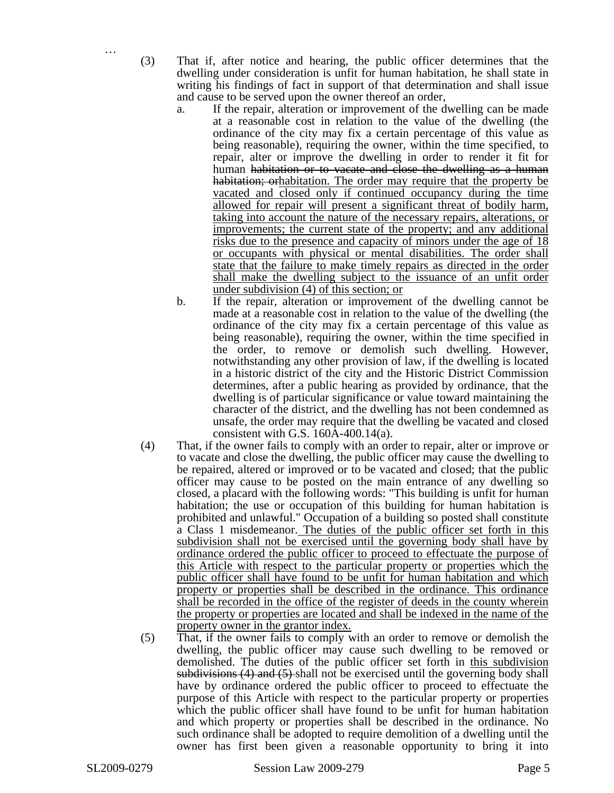…

(3) That if, after notice and hearing, the public officer determines that the dwelling under consideration is unfit for human habitation, he shall state in writing his findings of fact in support of that determination and shall issue and cause to be served upon the owner thereof an order,

- a. If the repair, alteration or improvement of the dwelling can be made at a reasonable cost in relation to the value of the dwelling (the ordinance of the city may fix a certain percentage of this value as being reasonable), requiring the owner, within the time specified, to repair, alter or improve the dwelling in order to render it fit for human habitation or to vacate and close the dwelling as a human habitation; orhabitation. The order may require that the property be vacated and closed only if continued occupancy during the time allowed for repair will present a significant threat of bodily harm, taking into account the nature of the necessary repairs, alterations, or improvements; the current state of the property; and any additional risks due to the presence and capacity of minors under the age of 18 or occupants with physical or mental disabilities. The order shall state that the failure to make timely repairs as directed in the order shall make the dwelling subject to the issuance of an unfit order under subdivision (4) of this section; or
- b. If the repair, alteration or improvement of the dwelling cannot be made at a reasonable cost in relation to the value of the dwelling (the ordinance of the city may fix a certain percentage of this value as being reasonable), requiring the owner, within the time specified in the order, to remove or demolish such dwelling. However, notwithstanding any other provision of law, if the dwelling is located in a historic district of the city and the Historic District Commission determines, after a public hearing as provided by ordinance, that the dwelling is of particular significance or value toward maintaining the character of the district, and the dwelling has not been condemned as unsafe, the order may require that the dwelling be vacated and closed consistent with G.S. 160A-400.14(a).
- (4) That, if the owner fails to comply with an order to repair, alter or improve or to vacate and close the dwelling, the public officer may cause the dwelling to be repaired, altered or improved or to be vacated and closed; that the public officer may cause to be posted on the main entrance of any dwelling so closed, a placard with the following words: "This building is unfit for human habitation; the use or occupation of this building for human habitation is prohibited and unlawful." Occupation of a building so posted shall constitute a Class 1 misdemeanor. The duties of the public officer set forth in this subdivision shall not be exercised until the governing body shall have by ordinance ordered the public officer to proceed to effectuate the purpose of this Article with respect to the particular property or properties which the public officer shall have found to be unfit for human habitation and which property or properties shall be described in the ordinance. This ordinance shall be recorded in the office of the register of deeds in the county wherein the property or properties are located and shall be indexed in the name of the property owner in the grantor index.
- (5) That, if the owner fails to comply with an order to remove or demolish the dwelling, the public officer may cause such dwelling to be removed or demolished. The duties of the public officer set forth in this subdivision subdivisions (4) and (5) shall not be exercised until the governing body shall have by ordinance ordered the public officer to proceed to effectuate the purpose of this Article with respect to the particular property or properties which the public officer shall have found to be unfit for human habitation and which property or properties shall be described in the ordinance. No such ordinance shall be adopted to require demolition of a dwelling until the owner has first been given a reasonable opportunity to bring it into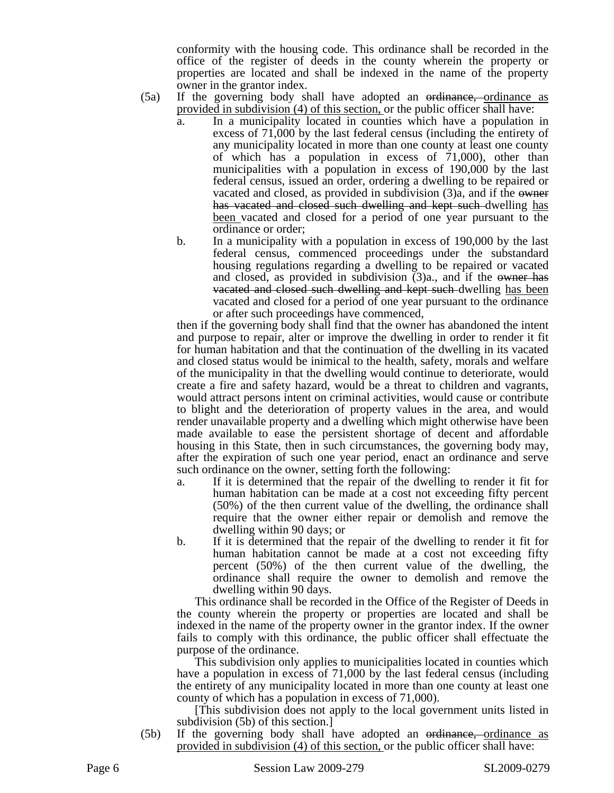conformity with the housing code. This ordinance shall be recorded in the office of the register of deeds in the county wherein the property or properties are located and shall be indexed in the name of the property owner in the grantor index.

- (5a) If the governing body shall have adopted an <del>ordinance, o</del>rdinance as provided in subdivision (4) of this section, or the public officer shall have:
	- a. In a municipality located in counties which have a population in excess of 71,000 by the last federal census (including the entirety of any municipality located in more than one county at least one county of which has a population in excess of 71,000), other than municipalities with a population in excess of 190,000 by the last federal census, issued an order, ordering a dwelling to be repaired or vacated and closed, as provided in subdivision (3)a, and if the owner has vacated and closed such dwelling and kept such dwelling has been vacated and closed for a period of one year pursuant to the ordinance or order;
	- b. In a municipality with a population in excess of 190,000 by the last federal census, commenced proceedings under the substandard housing regulations regarding a dwelling to be repaired or vacated and closed, as provided in subdivision (3)a., and if the owner has vacated and closed such dwelling and kept such dwelling has been vacated and closed for a period of one year pursuant to the ordinance or after such proceedings have commenced,

then if the governing body shall find that the owner has abandoned the intent and purpose to repair, alter or improve the dwelling in order to render it fit for human habitation and that the continuation of the dwelling in its vacated and closed status would be inimical to the health, safety, morals and welfare of the municipality in that the dwelling would continue to deteriorate, would create a fire and safety hazard, would be a threat to children and vagrants, would attract persons intent on criminal activities, would cause or contribute to blight and the deterioration of property values in the area, and would render unavailable property and a dwelling which might otherwise have been made available to ease the persistent shortage of decent and affordable housing in this State, then in such circumstances, the governing body may, after the expiration of such one year period, enact an ordinance and serve such ordinance on the owner, setting forth the following:

- a. If it is determined that the repair of the dwelling to render it fit for human habitation can be made at a cost not exceeding fifty percent (50%) of the then current value of the dwelling, the ordinance shall require that the owner either repair or demolish and remove the dwelling within 90 days; or
- b. If it is determined that the repair of the dwelling to render it fit for human habitation cannot be made at a cost not exceeding fifty percent (50%) of the then current value of the dwelling, the ordinance shall require the owner to demolish and remove the dwelling within 90 days.

This ordinance shall be recorded in the Office of the Register of Deeds in the county wherein the property or properties are located and shall be indexed in the name of the property owner in the grantor index. If the owner fails to comply with this ordinance, the public officer shall effectuate the purpose of the ordinance.

This subdivision only applies to municipalities located in counties which have a population in excess of 71,000 by the last federal census (including the entirety of any municipality located in more than one county at least one county of which has a population in excess of 71,000).

[This subdivision does not apply to the local government units listed in subdivision (5b) of this section.]

(5b) If the governing body shall have adopted an ordinance, ordinance as provided in subdivision (4) of this section, or the public officer shall have: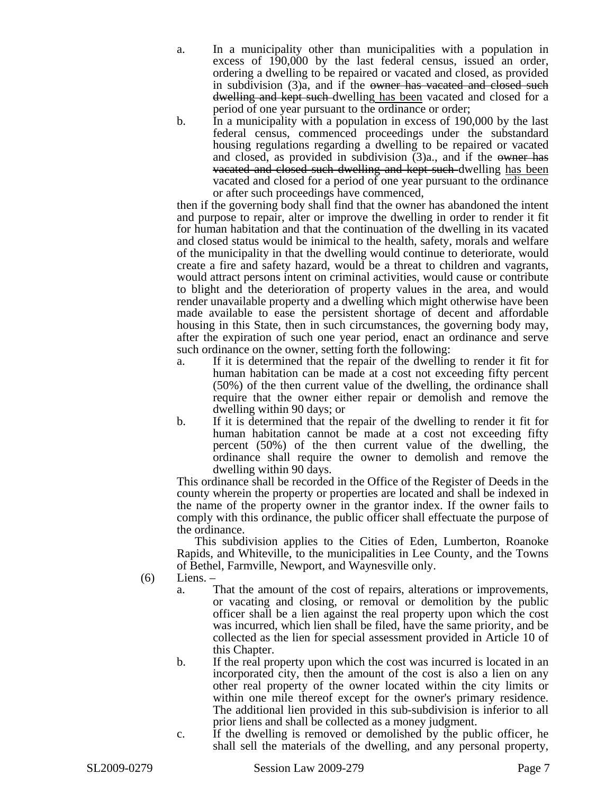a. In a municipality other than municipalities with a population in excess of 190,000 by the last federal census, issued an order, ordering a dwelling to be repaired or vacated and closed, as provided in subdivision (3)a, and if the owner has vacated and closed such dwelling and kept such dwelling has been vacated and closed for a period of one year pursuant to the ordinance or order;

b. In a municipality with a population in excess of 190,000 by the last federal census, commenced proceedings under the substandard housing regulations regarding a dwelling to be repaired or vacated and closed, as provided in subdivision (3)a., and if the owner has vacated and closed such dwelling and kept such dwelling has been vacated and closed for a period of one year pursuant to the ordinance or after such proceedings have commenced,

then if the governing body shall find that the owner has abandoned the intent and purpose to repair, alter or improve the dwelling in order to render it fit for human habitation and that the continuation of the dwelling in its vacated and closed status would be inimical to the health, safety, morals and welfare of the municipality in that the dwelling would continue to deteriorate, would create a fire and safety hazard, would be a threat to children and vagrants, would attract persons intent on criminal activities, would cause or contribute to blight and the deterioration of property values in the area, and would render unavailable property and a dwelling which might otherwise have been made available to ease the persistent shortage of decent and affordable housing in this State, then in such circumstances, the governing body may, after the expiration of such one year period, enact an ordinance and serve such ordinance on the owner, setting forth the following:

- a. If it is determined that the repair of the dwelling to render it fit for human habitation can be made at a cost not exceeding fifty percent (50%) of the then current value of the dwelling, the ordinance shall require that the owner either repair or demolish and remove the dwelling within 90 days; or
- b. If it is determined that the repair of the dwelling to render it fit for human habitation cannot be made at a cost not exceeding fifty percent (50%) of the then current value of the dwelling, the ordinance shall require the owner to demolish and remove the dwelling within 90 days.

This ordinance shall be recorded in the Office of the Register of Deeds in the county wherein the property or properties are located and shall be indexed in the name of the property owner in the grantor index. If the owner fails to comply with this ordinance, the public officer shall effectuate the purpose of the ordinance.

This subdivision applies to the Cities of Eden, Lumberton, Roanoke Rapids, and Whiteville, to the municipalities in Lee County, and the Towns of Bethel, Farmville, Newport, and Waynesville only.

- (6) Liens.
	- a. That the amount of the cost of repairs, alterations or improvements, or vacating and closing, or removal or demolition by the public officer shall be a lien against the real property upon which the cost was incurred, which lien shall be filed, have the same priority, and be collected as the lien for special assessment provided in Article 10 of this Chapter.
	- b. If the real property upon which the cost was incurred is located in an incorporated city, then the amount of the cost is also a lien on any other real property of the owner located within the city limits or within one mile thereof except for the owner's primary residence. The additional lien provided in this sub-subdivision is inferior to all prior liens and shall be collected as a money judgment.
	- c. If the dwelling is removed or demolished by the public officer, he shall sell the materials of the dwelling, and any personal property,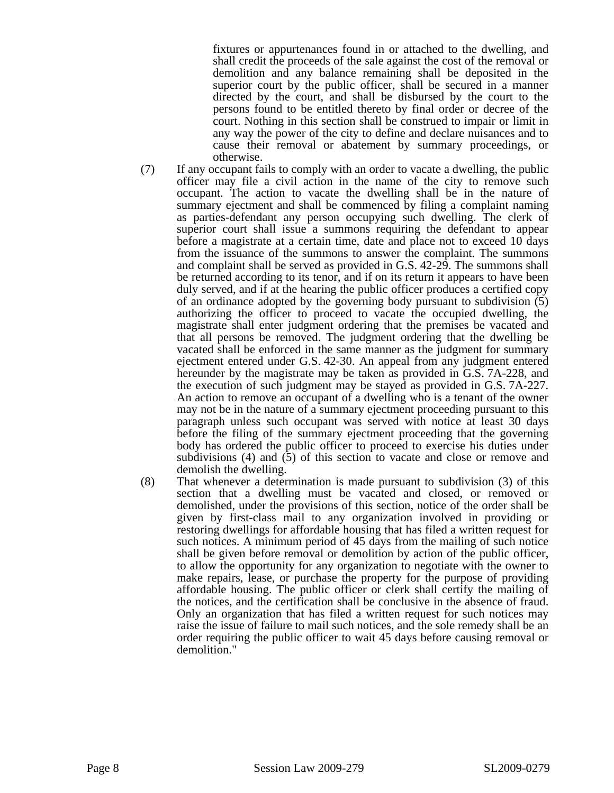fixtures or appurtenances found in or attached to the dwelling, and shall credit the proceeds of the sale against the cost of the removal or demolition and any balance remaining shall be deposited in the superior court by the public officer, shall be secured in a manner directed by the court, and shall be disbursed by the court to the persons found to be entitled thereto by final order or decree of the court. Nothing in this section shall be construed to impair or limit in any way the power of the city to define and declare nuisances and to cause their removal or abatement by summary proceedings, or otherwise.

- (7) If any occupant fails to comply with an order to vacate a dwelling, the public officer may file a civil action in the name of the city to remove such occupant. The action to vacate the dwelling shall be in the nature of summary ejectment and shall be commenced by filing a complaint naming as parties-defendant any person occupying such dwelling. The clerk of superior court shall issue a summons requiring the defendant to appear before a magistrate at a certain time, date and place not to exceed 10 days from the issuance of the summons to answer the complaint. The summons and complaint shall be served as provided in G.S. 42-29. The summons shall be returned according to its tenor, and if on its return it appears to have been duly served, and if at the hearing the public officer produces a certified copy of an ordinance adopted by the governing body pursuant to subdivision (5) authorizing the officer to proceed to vacate the occupied dwelling, the magistrate shall enter judgment ordering that the premises be vacated and that all persons be removed. The judgment ordering that the dwelling be vacated shall be enforced in the same manner as the judgment for summary ejectment entered under G.S. 42-30. An appeal from any judgment entered hereunder by the magistrate may be taken as provided in G.S. 7A-228, and the execution of such judgment may be stayed as provided in G.S. 7A-227. An action to remove an occupant of a dwelling who is a tenant of the owner may not be in the nature of a summary ejectment proceeding pursuant to this paragraph unless such occupant was served with notice at least 30 days before the filing of the summary ejectment proceeding that the governing body has ordered the public officer to proceed to exercise his duties under subdivisions (4) and (5) of this section to vacate and close or remove and demolish the dwelling.
- (8) That whenever a determination is made pursuant to subdivision (3) of this section that a dwelling must be vacated and closed, or removed or demolished, under the provisions of this section, notice of the order shall be given by first-class mail to any organization involved in providing or restoring dwellings for affordable housing that has filed a written request for such notices. A minimum period of 45 days from the mailing of such notice shall be given before removal or demolition by action of the public officer, to allow the opportunity for any organization to negotiate with the owner to make repairs, lease, or purchase the property for the purpose of providing affordable housing. The public officer or clerk shall certify the mailing of the notices, and the certification shall be conclusive in the absence of fraud. Only an organization that has filed a written request for such notices may raise the issue of failure to mail such notices, and the sole remedy shall be an order requiring the public officer to wait 45 days before causing removal or demolition."